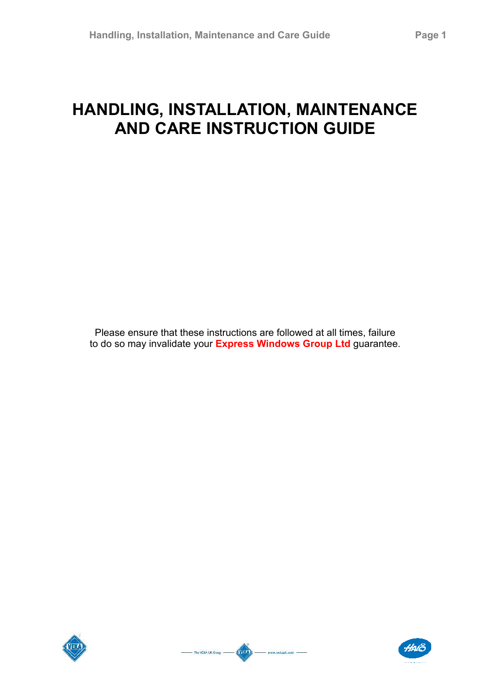# **HANDLING, INSTALLATION, MAINTENANCE AND CARE INSTRUCTION GUIDE**

Please ensure that these instructions are followed at all times, failure to do so may invalidate your **Express Windows Group Ltd** guarantee.





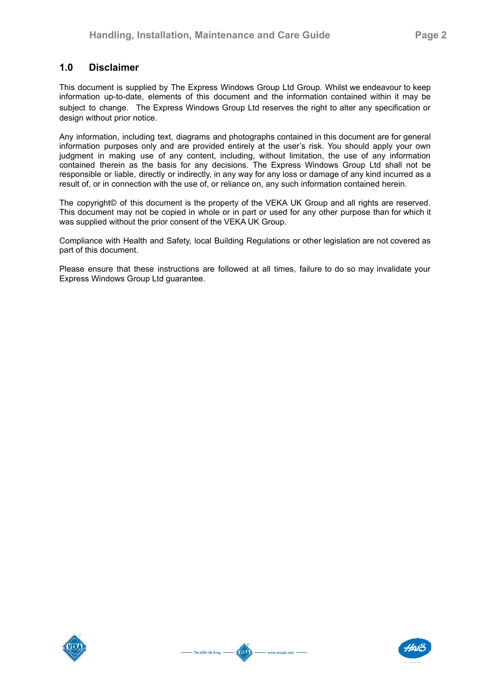# **1.0 Disclaimer**

This document is supplied by The Express Windows Group Ltd Group. Whilst we endeavour to keep information up-to-date, elements of this document and the information contained within it may be subject to change. The Express Windows Group Ltd reserves the right to alter any specification or design without prior notice.

Any information, including text, diagrams and photographs contained in this document are for general information purposes only and are provided entirely at the user's risk. You should apply your own judgment in making use of any content, including, without limitation, the use of any information contained therein as the basis for any decisions. The Express Windows Group Ltd shall not be responsible or liable, directly or indirectly, in any way for any loss or damage of any kind incurred as a result of, or in connection with the use of, or reliance on, any such information contained herein.

The copyright© of this document is the property of the VEKA UK Group and all rights are reserved. This document may not be copied in whole or in part or used for any other purpose than for which it was supplied without the prior consent of the VEKA UK Group.

Compliance with Health and Safety, local Building Regulations or other legislation are not covered as part of this document.

Please ensure that these instructions are followed at all times, failure to do so may invalidate your Express Windows Group Ltd guarantee.



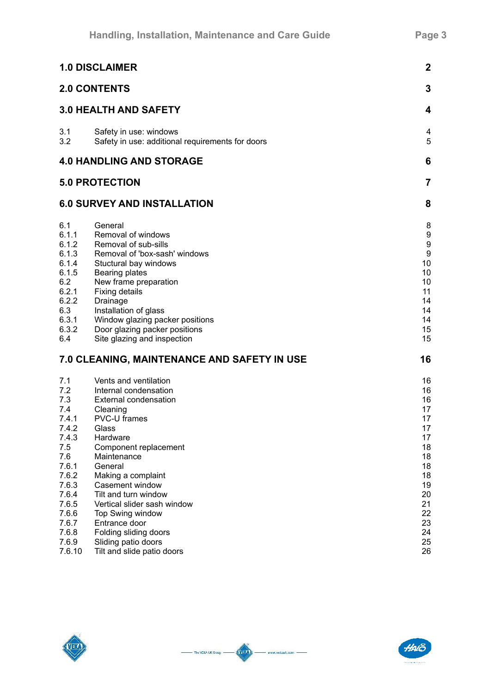| <b>1.0 DISCLAIMER</b>                                                                                                                                        | $\boldsymbol{2}$                                                                                                                                                                                                                                                                                                                                                                                             |                                                                                                                |
|--------------------------------------------------------------------------------------------------------------------------------------------------------------|--------------------------------------------------------------------------------------------------------------------------------------------------------------------------------------------------------------------------------------------------------------------------------------------------------------------------------------------------------------------------------------------------------------|----------------------------------------------------------------------------------------------------------------|
|                                                                                                                                                              | <b>2.0 CONTENTS</b>                                                                                                                                                                                                                                                                                                                                                                                          | 3                                                                                                              |
| <b>3.0 HEALTH AND SAFETY</b>                                                                                                                                 | 4                                                                                                                                                                                                                                                                                                                                                                                                            |                                                                                                                |
| 3.1<br>3.2                                                                                                                                                   | Safety in use: windows<br>Safety in use: additional requirements for doors                                                                                                                                                                                                                                                                                                                                   | 4<br>5                                                                                                         |
| <b>4.0 HANDLING AND STORAGE</b>                                                                                                                              | 6                                                                                                                                                                                                                                                                                                                                                                                                            |                                                                                                                |
|                                                                                                                                                              | <b>5.0 PROTECTION</b>                                                                                                                                                                                                                                                                                                                                                                                        | $\overline{7}$                                                                                                 |
|                                                                                                                                                              | <b>6.0 SURVEY AND INSTALLATION</b>                                                                                                                                                                                                                                                                                                                                                                           | 8                                                                                                              |
| 6.1<br>6.1.1<br>6.1.2<br>6.1.3<br>6.1.4<br>6.1.5<br>6.2<br>6.2.1<br>6.2.2<br>6.3<br>6.3.1<br>6.3.2<br>6.4                                                    | General<br>Removal of windows<br>Removal of sub-sills<br>Removal of 'box-sash' windows<br>Stuctural bay windows<br><b>Bearing plates</b><br>New frame preparation<br><b>Fixing details</b><br>Drainage<br>Installation of glass<br>Window glazing packer positions<br>Door glazing packer positions<br>Site glazing and inspection                                                                           | 8<br>9<br>9<br>$\boldsymbol{9}$<br>10<br>10<br>10<br>11<br>14<br>14<br>14<br>15<br>15                          |
|                                                                                                                                                              | 7.0 CLEANING, MAINTENANCE AND SAFETY IN USE                                                                                                                                                                                                                                                                                                                                                                  | 16                                                                                                             |
| 7.1<br>7.2<br>7.3<br>7.4<br>7.4.1<br>7.4.2<br>7.4.3<br>7.5<br>7.6<br>7.6.1<br>7.6.2<br>7.6.3<br>7.6.4<br>7.6.5<br>7.6.6<br>7.6.7<br>7.6.8<br>7.6.9<br>7.6.10 | Vents and ventilation<br>Internal condensation<br><b>External condensation</b><br>Cleaning<br>PVC-U frames<br>Glass<br>Hardware<br>Component replacement<br>Maintenance<br>General<br>Making a complaint<br>Casement window<br>Tilt and turn window<br>Vertical slider sash window<br><b>Top Swing window</b><br>Entrance door<br>Folding sliding doors<br>Sliding patio doors<br>Tilt and slide patio doors | 16<br>16<br>16<br>17<br>17<br>17<br>17<br>18<br>18<br>18<br>18<br>19<br>20<br>21<br>22<br>23<br>24<br>25<br>26 |





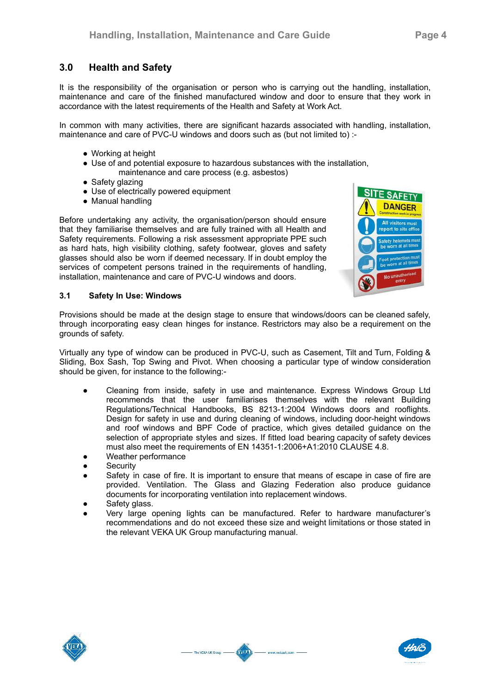# **3.0 Health and Safety**

It is the responsibility of the organisation or person who is carrying out the handling, installation, maintenance and care of the finished manufactured window and door to ensure that they work in accordance with the latest requirements of the Health and Safety at Work Act.

In common with many activities, there are significant hazards associated with handling, installation, maintenance and care of PVC-U windows and doors such as (but not limited to) :-

- Working at height
- Use of and potential exposure to hazardous substances with the installation, maintenance and care process (e.g. asbestos)
- Safety glazing
- Use of electrically powered equipment
- Manual handling

Before undertaking any activity, the organisation/person should ensure that they familiarise themselves and are fully trained with all Health and Safety requirements. Following a risk assessment appropriate PPE such as hard hats, high visibility clothing, safety footwear, gloves and safety glasses should also be worn if deemed necessary. If in doubt employ the services of competent persons trained in the requirements of handling, installation, maintenance and care of PVC-U windows and doors.



#### **3.1 Safety In Use: Windows**

Provisions should be made at the design stage to ensure that windows/doors can be cleaned safely, through incorporating easy clean hinges for instance. Restrictors may also be a requirement on the grounds of safety.

Virtually any type of window can be produced in PVC-U, such as Casement, Tilt and Turn, Folding & Sliding, Box Sash, Top Swing and Pivot. When choosing a particular type of window consideration should be given, for instance to the following:-

- Cleaning from inside, safety in use and maintenance. Express Windows Group Ltd recommends that the user familiarises themselves with the relevant Building Regulations/Technical Handbooks, BS 8213-1:2004 Windows doors and rooflights. Design for safety in use and during cleaning of windows, including door-height windows and roof windows and BPF Code of practice, which gives detailed guidance on the selection of appropriate styles and sizes. If fitted load bearing capacity of safety devices must also meet the requirements of EN 14351-1:2006+A1:2010 CLAUSE 4.8.
- Weather performance
- **Security**
- Safety in case of fire. It is important to ensure that means of escape in case of fire are provided. Ventilation. The Glass and Glazing Federation also produce guidance documents for incorporating ventilation into replacement windows.
- Safety glass.
- Very large opening lights can be manufactured. Refer to hardware manufacturer's recommendations and do not exceed these size and weight limitations or those stated in the relevant VEKA UK Group manufacturing manual.

Ania

www.vekauk.com -

- The VEKA UK Group -



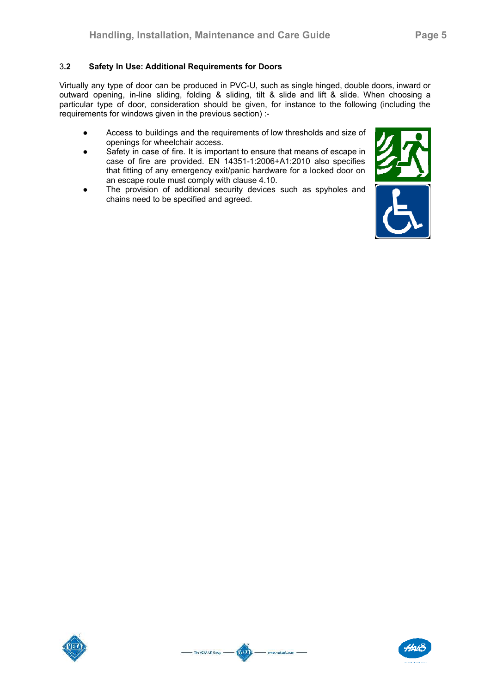Virtually any type of door can be produced in PVC-U, such as single hinged, double doors, inward or outward opening, in-line sliding, folding & sliding, tilt & slide and lift & slide. When choosing a particular type of door, consideration should be given, for instance to the following (including the requirements for windows given in the previous section) :-

- Access to buildings and the requirements of low thresholds and size of openings for wheelchair access.
- Safety in case of fire. It is important to ensure that means of escape in case of fire are provided. EN 14351-1:2006+A1:2010 also specifies that fitting of any emergency exit/panic hardware for a locked door on an escape route must comply with clause 4.10.
- The provision of additional security devices such as spyholes and chains need to be specified and agreed.







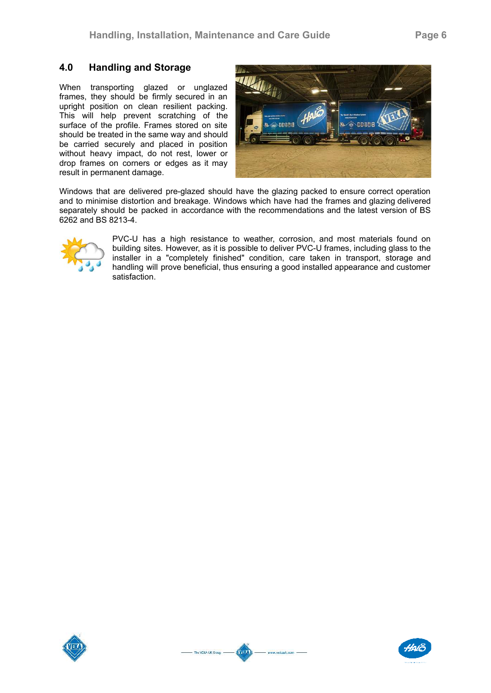# **4.0 Handling and Storage**

When transporting glazed or unglazed frames, they should be firmly secured in an upright position on clean resilient packing. This will help prevent scratching of the surface of the profile. Frames stored on site should be treated in the same way and should be carried securely and placed in position without heavy impact, do not rest, lower or drop frames on corners or edges as it may result in permanent damage.



Windows that are delivered pre-glazed should have the glazing packed to ensure correct operation and to minimise distortion and breakage. Windows which have had the frames and glazing delivered separately should be packed in accordance with the recommendations and the latest version of BS 6262 and BS 8213-4.



PVC-U has a high resistance to weather, corrosion, and most materials found on building sites. However, as it is possible to deliver PVC-U frames, including glass to the installer in a "completely finished" condition, care taken in transport, storage and handling will prove beneficial, thus ensuring a good installed appearance and customer satisfaction.



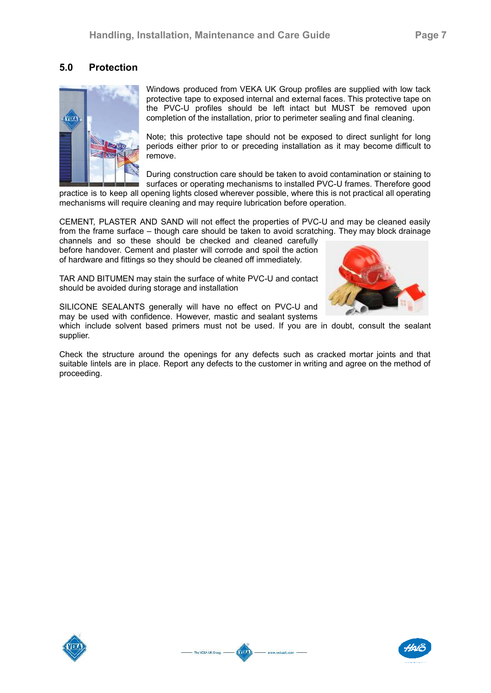# **5.0 Protection**



Windows produced from VEKA UK Group profiles are supplied with low tack protective tape to exposed internal and external faces. This protective tape on the PVC-U profiles should be left intact but MUST be removed upon completion of the installation, prior to perimeter sealing and final cleaning.

Note; this protective tape should not be exposed to direct sunlight for long periods either prior to or preceding installation as it may become difficult to remove.

During construction care should be taken to avoid contamination or staining to surfaces or operating mechanisms to installed PVC-U frames. Therefore good

practice is to keep all opening lights closed wherever possible, where this is not practical all operating mechanisms will require cleaning and may require lubrication before operation.

CEMENT, PLASTER AND SAND will not effect the properties of PVC-U and may be cleaned easily from the frame surface – though care should be taken to avoid scratching. They may block drainage

channels and so these should be checked and cleaned carefully before handover. Cement and plaster will corrode and spoil the action of hardware and fittings so they should be cleaned off immediately.

TAR AND BITUMEN may stain the surface of white PVC-U and contact should be avoided during storage and installation



SILICONE SEALANTS generally will have no effect on PVC-U and may be used with confidence. However, mastic and sealant systems

The VEKA UK Group

www.yekauk.com

which include solvent based primers must not be used. If you are in doubt, consult the sealant supplier.

Check the structure around the openings for any defects such as cracked mortar joints and that suitable lintels are in place. Report any defects to the customer in writing and agree on the method of proceeding.



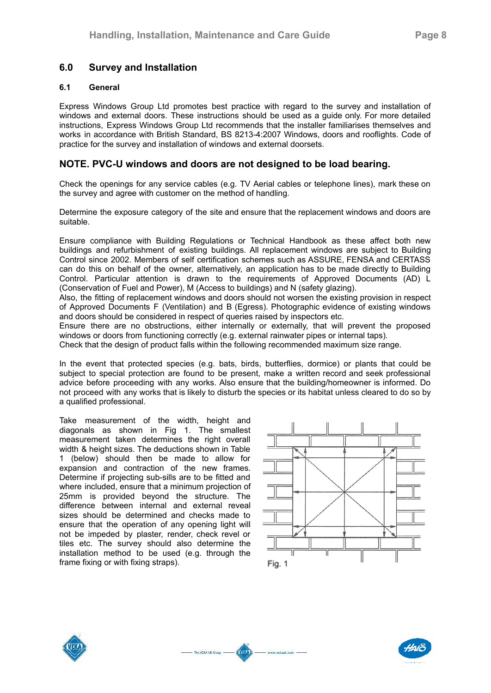# **6.0 Survey and Installation**

## **6.1 General**

Express Windows Group Ltd promotes best practice with regard to the survey and installation of windows and external doors. These instructions should be used as a quide only. For more detailed instructions, Express Windows Group Ltd recommends that the installer familiarises themselves and works in accordance with British Standard, BS 8213-4:2007 Windows, doors and rooflights. Code of practice for the survey and installation of windows and external doorsets.

# **NOTE. PVC-U windows and doors are not designed to be load bearing.**

Check the openings for any service cables (e.g. TV Aerial cables or telephone lines), mark these on the survey and agree with customer on the method of handling.

Determine the exposure category of the site and ensure that the replacement windows and doors are suitable.

Ensure compliance with Building Regulations or Technical Handbook as these affect both new buildings and refurbishment of existing buildings. All replacement windows are subject to Building Control since 2002. Members of self certification schemes such as ASSURE, FENSA and CERTASS can do this on behalf of the owner, alternatively, an application has to be made directly to Building Control. Particular attention is drawn to the requirements of Approved Documents (AD) L (Conservation of Fuel and Power), M (Access to buildings) and N (safety glazing).

Also, the fitting of replacement windows and doors should not worsen the existing provision in respect of Approved Documents F (Ventilation) and B (Egress). Photographic evidence of existing windows and doors should be considered in respect of queries raised by inspectors etc.

Ensure there are no obstructions, either internally or externally, that will prevent the proposed windows or doors from functioning correctly (e.g. external rainwater pipes or internal taps).

Check that the design of product falls within the following recommended maximum size range.

In the event that protected species (e.g. bats, birds, butterflies, dormice) or plants that could be subject to special protection are found to be present, make a written record and seek professional advice before proceeding with any works. Also ensure that the building/homeowner is informed. Do not proceed with any works that is likely to disturb the species or its habitat unless cleared to do so by a qualified professional.

Take measurement of the width, height and diagonals as shown in Fig 1. The smallest measurement taken determines the right overall width & height sizes. The deductions shown in Table 1 (below) should then be made to allow for expansion and contraction of the new frames. Determine if projecting sub-sills are to be fitted and where included, ensure that a minimum projection of 25mm is provided beyond the structure. The difference between internal and external reveal sizes should be determined and checks made to ensure that the operation of any opening light will not be impeded by plaster, render, check revel or tiles etc. The survey should also determine the installation method to be used (e.g. through the frame fixing or with fixing straps).







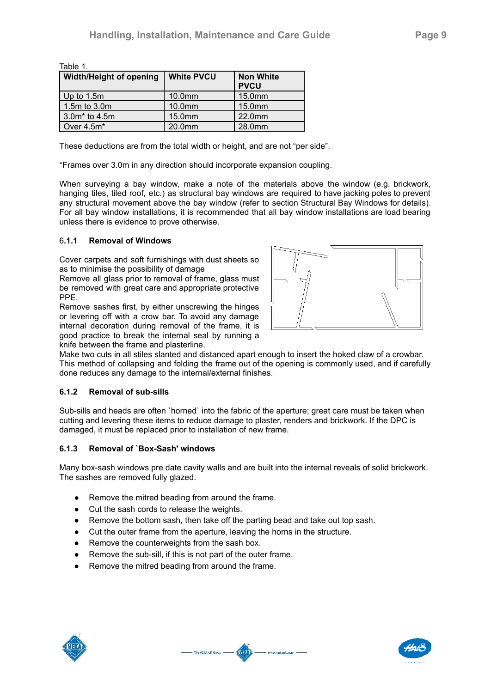| Table 1.                |                   |                                 |  |
|-------------------------|-------------------|---------------------------------|--|
| Width/Height of opening | <b>White PVCU</b> | <b>Non White</b><br><b>PVCU</b> |  |
| Up to 1.5m              | 10.0mm            | 15.0mm                          |  |
| 1.5m to 3.0m            | 10.0mm            | 15.0mm                          |  |
| $3.0m*$ to 4.5m         | 15.0mm            | 22.0mm                          |  |
| Over 4.5m*              | 20.0mm            | 28.0mm                          |  |

These deductions are from the total width or height, and are not "per side".

\*Frames over 3.0m in any direction should incorporate expansion coupling.

When surveying a bay window, make a note of the materials above the window (e.g. brickwork, hanging tiles, tiled roof, etc.) as structural bay windows are required to have jacking poles to prevent any structural movement above the bay window (refer to section Structural Bay Windows for details). For all bay window installations, it is recommended that all bay window installations are load bearing unless there is evidence to prove otherwise.

#### 6**.1.1 Removal of Windows**

Cover carpets and soft furnishings with dust sheets so as to minimise the possibility of damage

Remove all glass prior to removal of frame, glass must be removed with great care and appropriate protective PPE.

Remove sashes first, by either unscrewing the hinges or levering off with a crow bar. To avoid any damage internal decoration during removal of the frame, it is good practice to break the internal seal by running a knife between the frame and plasterline.



Make two cuts in all stiles slanted and distanced apart enough to insert the hoked claw of a crowbar. This method of collapsing and folding the frame out of the opening is commonly used, and if carefully done reduces any damage to the internal/external finishes.

#### **6.1.2 Removal of sub-sills**

Sub-sills and heads are often `horned` into the fabric of the aperture; great care must be taken when cutting and levering these items to reduce damage to plaster, renders and brickwork. If the DPC is damaged, it must be replaced prior to installation of new frame.

#### **6.1.3 Removal of `Box-Sash' windows**

Many box-sash windows pre date cavity walls and are built into the internal reveals of solid brickwork. The sashes are removed fully glazed.

- Remove the mitred beading from around the frame.
- Cut the sash cords to release the weights.
- Remove the bottom sash, then take off the parting bead and take out top sash.
- Cut the outer frame from the aperture, leaving the horns in the structure.
- Remove the counterweights from the sash box.
- Remove the sub-sill, if this is not part of the outer frame.
- Remove the mitred beading from around the frame.





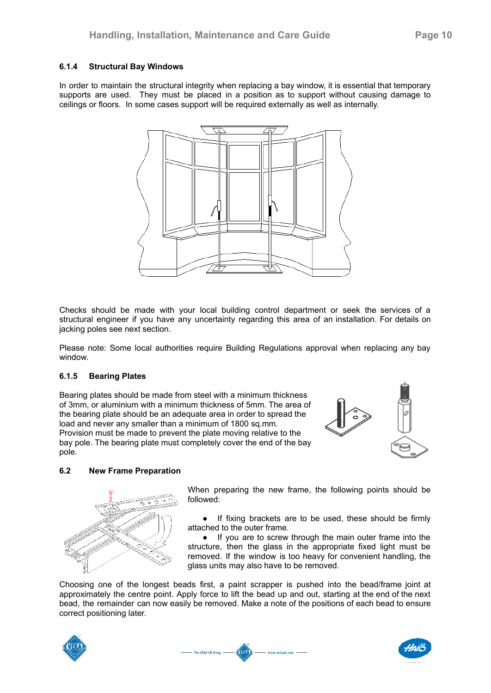#### **6.1.4 Structural Bay Windows**

In order to maintain the structural integrity when replacing a bay window, it is essential that temporary supports are used. They must be placed in a position as to support without causing damage to ceilings or floors. In some cases support will be required externally as well as internally.



Checks should be made with your local building control department or seek the services of a structural engineer if you have any uncertainty regarding this area of an installation. For details on jacking poles see next section.

Please note: Some local authorities require Building Regulations approval when replacing any bay window.

#### **6.1.5 Bearing Plates**

Bearing plates should be made from steel with a minimum thickness of 3mm, or aluminium with a minimum thickness of 5mm. The area of the bearing plate should be an adequate area in order to spread the load and never any smaller than a minimum of 1800 sq.mm. Provision must be made to prevent the plate moving relative to the bay pole. The bearing plate must completely cover the end of the bay pole.





When preparing the new frame, the following points should be followed:

● If fixing brackets are to be used, these should be firmly attached to the outer frame.

● If you are to screw through the main outer frame into the structure, then the glass in the appropriate fixed light must be removed. If the window is too heavy for convenient handling, the glass units may also have to be removed.

Choosing one of the longest beads first, a paint scrapper is pushed into the bead/frame joint at approximately the centre point. Apply force to lift the bead up and out, starting at the end of the next bead, the remainder can now easily be removed. Make a note of the positions of each bead to ensure correct positioning later.





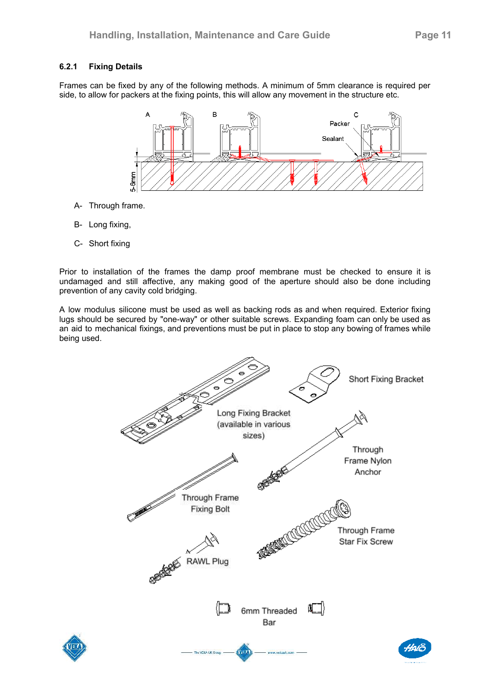# **6.2.1 Fixing Details**

Frames can be fixed by any of the following methods. A minimum of 5mm clearance is required per side, to allow for packers at the fixing points, this will allow any movement in the structure etc.



- A- Through frame.
- B- Long fixing,
- C- Short fixing

Prior to installation of the frames the damp proof membrane must be checked to ensure it is undamaged and still affective, any making good of the aperture should also be done including prevention of any cavity cold bridging.

A low modulus silicone must be used as well as backing rods as and when required. Exterior fixing lugs should be secured by "one-way" or other suitable screws. Expanding foam can only be used as an aid to mechanical fixings, and preventions must be put in place to stop any bowing of frames while being used.

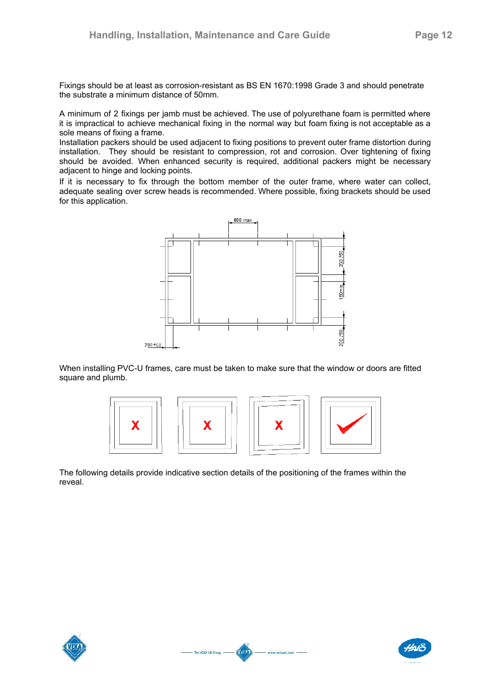Fixings should be at least as corrosion-resistant as BS EN 1670:1998 Grade 3 and should penetrate the substrate a minimum distance of 50mm.

A minimum of 2 fixings per jamb must be achieved. The use of polyurethane foam is permitted where it is impractical to achieve mechanical fixing in the normal way but foam fixing is not acceptable as a sole means of fixing a frame.

Installation packers should be used adjacent to fixing positions to prevent outer frame distortion during installation. They should be resistant to compression, rot and corrosion. Over tightening of fixing should be avoided. When enhanced security is required, additional packers might be necessary adjacent to hinge and locking points.

If it is necessary to fix through the bottom member of the outer frame, where water can collect, adequate sealing over screw heads is recommended. Where possible, fixing brackets should be used for this application.



When installing PVC-U frames, care must be taken to make sure that the window or doors are fitted square and plumb.



The following details provide indicative section details of the positioning of the frames within the reveal.





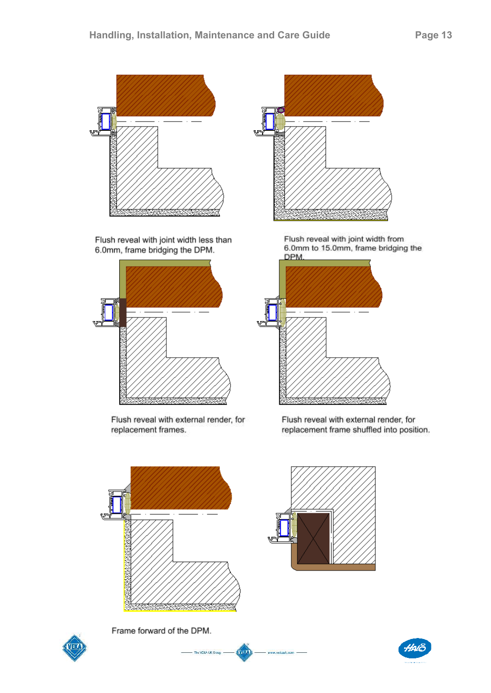

Flush reveal with joint width less than 6.0mm, frame bridging the DPM.



Flush reveal with external render, for replacement frames.



Flush reveal with joint width from 6.0mm to 15.0mm, frame bridging the **DPM** 



Flush reveal with external render, for replacement frame shuffled into position.





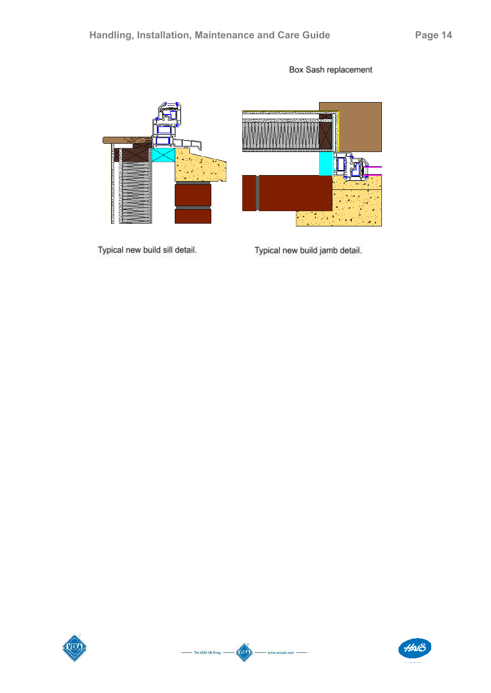Typical new build sill detail.





Typical new build jamb detail.





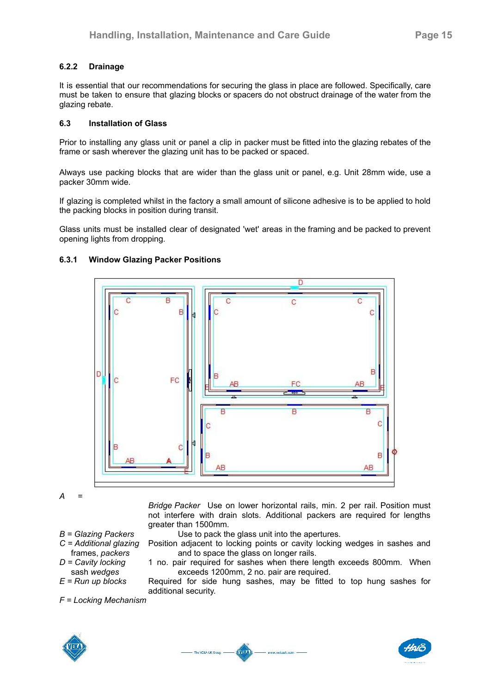# **6.2.2 Drainage**

It is essential that our recommendations for securing the glass in place are followed. Specifically, care must be taken to ensure that glazing blocks or spacers do not obstruct drainage of the water from the glazing rebate.

## **6.3 Installation of Glass**

Prior to installing any glass unit or panel a clip in packer must be fitted into the glazing rebates of the frame or sash wherever the glazing unit has to be packed or spaced.

Always use packing blocks that are wider than the glass unit or panel, e.g. Unit 28mm wide, use a packer 30mm wide.

If glazing is completed whilst in the factory a small amount of silicone adhesive is to be applied to hold the packing blocks in position during transit.

Glass units must be installed clear of designated 'wet' areas in the framing and be packed to prevent opening lights from dropping.



# **6.3.1 Window Glazing Packer Positions**

*A =*

- *Bridge Packer* Use on lower horizontal rails, min. 2 per rail. Position must not interfere with drain slots. Additional packers are required for lengths greater than 1500mm.
- *B = Glazing Packers* Use to pack the glass unit into the apertures.
- *C = Additional glazing* Position adjacent to locking points or cavity locking wedges in sashes and
- frames, *packers* and to space the glass on longer rails.<br>  $D = Cavity locking$  1 no. pair required for sashes when there le 1 no. pair required for sashes when there length exceeds 800mm. When sash *wedges* exceeds 1200mm, 2 no. pair are required.
- *E = Run up blocks* Required for side hung sashes, may be fitted to top hung sashes for additional security.

*F = Locking Mechanism*





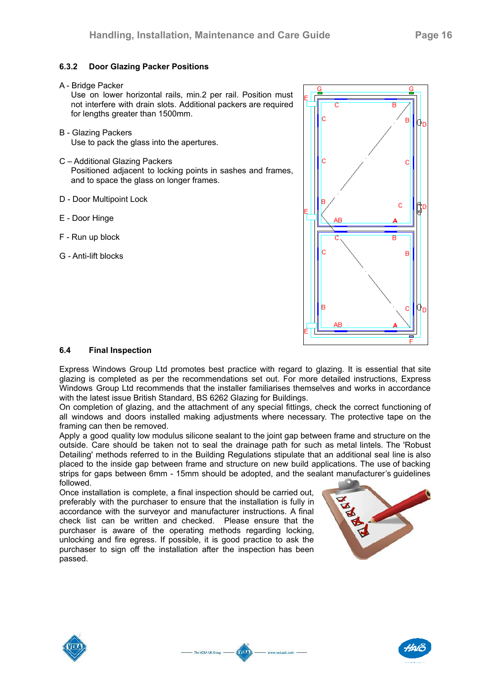# **6.3.2 Door Glazing Packer Positions**

A - Bridge Packer

Use on lower horizontal rails, min.2 per rail. Position must not interfere with drain slots. Additional packers are required for lengths greater than 1500mm.

- B Glazing Packers Use to pack the glass into the apertures.
- C Additional Glazing Packers

Positioned adjacent to locking points in sashes and frames, and to space the glass on longer frames.

- D Door Multipoint Lock
- E Door Hinge
- F Run up block
- G Anti-lift blocks



# **6.4 Final Inspection**

Express Windows Group Ltd promotes best practice with regard to glazing. It is essential that site glazing is completed as per the recommendations set out. For more detailed instructions, Express Windows Group Ltd recommends that the installer familiarises themselves and works in accordance with the latest issue British Standard, BS 6262 Glazing for Buildings.

On completion of glazing, and the attachment of any special fittings, check the correct functioning of all windows and doors installed making adjustments where necessary. The protective tape on the framing can then be removed.

Apply a good quality low modulus silicone sealant to the joint gap between frame and structure on the outside. Care should be taken not to seal the drainage path for such as metal lintels. The 'Robust Detailing' methods referred to in the Building Regulations stipulate that an additional seal line is also placed to the inside gap between frame and structure on new build applications. The use of backing strips for gaps between 6mm - 15mm should be adopted, and the sealant manufacturer's guidelines followed.

Kun

www.wekauk.com -

The VEKA UK Group. -

Once installation is complete, a final inspection should be carried out, preferably with the purchaser to ensure that the installation is fully in accordance with the surveyor and manufacturer instructions. A final check list can be written and checked. Please ensure that the purchaser is aware of the operating methods regarding locking, unlocking and fire egress. If possible, it is good practice to ask the purchaser to sign off the installation after the inspection has been passed.





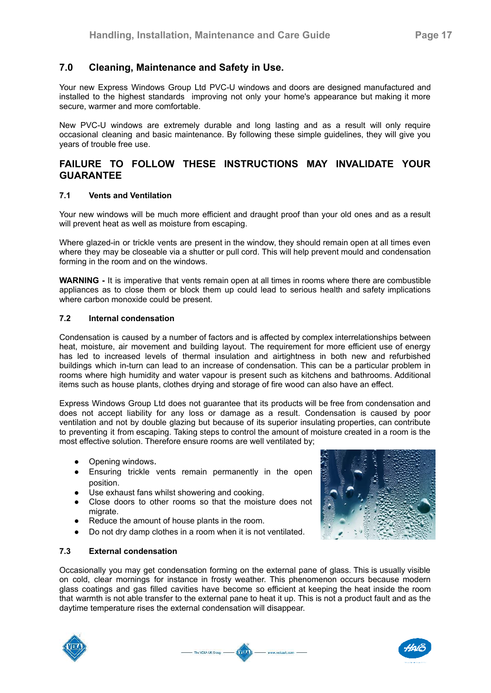# **7.0 Cleaning, Maintenance and Safety in Use.**

Your new Express Windows Group Ltd PVC-U windows and doors are designed manufactured and installed to the highest standards improving not only your home's appearance but making it more secure, warmer and more comfortable.

New PVC-U windows are extremely durable and long lasting and as a result will only require occasional cleaning and basic maintenance. By following these simple guidelines, they will give you years of trouble free use.

# **FAILURE TO FOLLOW THESE INSTRUCTIONS MAY INVALIDATE YOUR GUARANTEE**

#### **7.1 Vents and Ventilation**

Your new windows will be much more efficient and draught proof than your old ones and as a result will prevent heat as well as moisture from escaping.

Where glazed-in or trickle vents are present in the window, they should remain open at all times even where they may be closeable via a shutter or pull cord. This will help prevent mould and condensation forming in the room and on the windows.

**WARNING -** It is imperative that vents remain open at all times in rooms where there are combustible appliances as to close them or block them up could lead to serious health and safety implications where carbon monoxide could be present.

#### **7.2 Internal condensation**

Condensation is caused by a number of factors and is affected by complex interrelationships between heat, moisture, air movement and building layout. The requirement for more efficient use of energy has led to increased levels of thermal insulation and airtightness in both new and refurbished buildings which in-turn can lead to an increase of condensation. This can be a particular problem in rooms where high humidity and water vapour is present such as kitchens and bathrooms. Additional items such as house plants, clothes drying and storage of fire wood can also have an effect.

Express Windows Group Ltd does not guarantee that its products will be free from condensation and does not accept liability for any loss or damage as a result. Condensation is caused by poor ventilation and not by double glazing but because of its superior insulating properties, can contribute to preventing it from escaping. Taking steps to control the amount of moisture created in a room is the most effective solution. Therefore ensure rooms are well ventilated by;

- Opening windows.
- Ensuring trickle vents remain permanently in the open position.
- 
- Use exhaust fans whilst showering and cooking.<br>● Close doors to other rooms so that the moisti Close doors to other rooms so that the moisture does not migrate.
- Reduce the amount of house plants in the room.
- Do not dry damp clothes in a room when it is not ventilated.

#### **7.3 External condensation**

Occasionally you may get condensation forming on the external pane of glass. This is usually visible on cold, clear mornings for instance in frosty weather. This phenomenon occurs because modern glass coatings and gas filled cavities have become so efficient at keeping the heat inside the room that warmth is not able transfer to the external pane to heat it up. This is not a product fault and as the daytime temperature rises the external condensation will disappear.







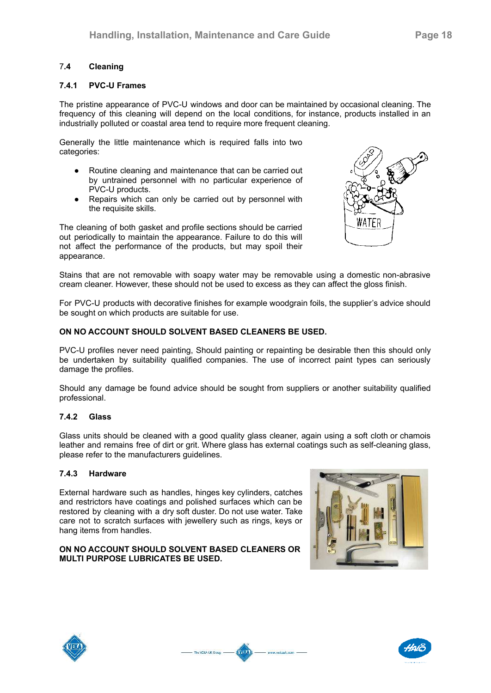### 7**.4 Cleaning**

#### **7.4.1 PVC-U Frames**

The pristine appearance of PVC-U windows and door can be maintained by occasional cleaning. The frequency of this cleaning will depend on the local conditions, for instance, products installed in an industrially polluted or coastal area tend to require more frequent cleaning.

Generally the little maintenance which is required falls into two categories:

- Routine cleaning and maintenance that can be carried out by untrained personnel with no particular experience of PVC-U products.
- Repairs which can only be carried out by personnel with the requisite skills.

The cleaning of both gasket and profile sections should be carried out periodically to maintain the appearance. Failure to do this will not affect the performance of the products, but may spoil their appearance.



Stains that are not removable with soapy water may be removable using a domestic non-abrasive cream cleaner. However, these should not be used to excess as they can affect the gloss finish.

For PVC-U products with decorative finishes for example woodgrain foils, the supplier's advice should be sought on which products are suitable for use.

#### **ON NO ACCOUNT SHOULD SOLVENT BASED CLEANERS BE USED.**

PVC-U profiles never need painting, Should painting or repainting be desirable then this should only be undertaken by suitability qualified companies. The use of incorrect paint types can seriously damage the profiles.

Should any damage be found advice should be sought from suppliers or another suitability qualified professional.

#### **7.4.2 Glass**

Glass units should be cleaned with a good quality glass cleaner, again using a soft cloth or chamois leather and remains free of dirt or grit. Where glass has external coatings such as self-cleaning glass, please refer to the manufacturers guidelines.

Ania

www.vekauk.com -

 $-$  The VEKA UK Group.  $-$ 

#### **7.4.3 Hardware**

External hardware such as handles, hinges key cylinders, catches and restrictors have coatings and polished surfaces which can be restored by cleaning with a dry soft duster. Do not use water. Take care not to scratch surfaces with jewellery such as rings, keys or hang items from handles.

#### **ON NO ACCOUNT SHOULD SOLVENT BASED CLEANERS OR MULTI PURPOSE LUBRICATES BE USED.**







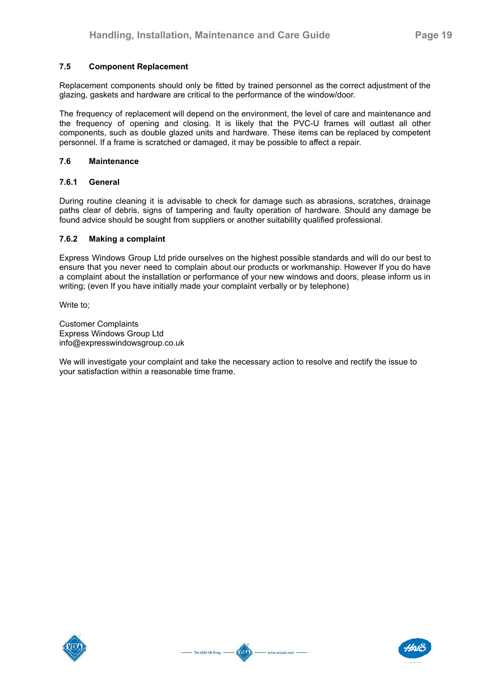#### **7.5 Component Replacement**

Replacement components should only be fitted by trained personnel as the correct adjustment of the glazing, gaskets and hardware are critical to the performance of the window/door.

The frequency of replacement will depend on the environment, the level of care and maintenance and the frequency of opening and closing. It is likely that the PVC-U frames will outlast all other components, such as double glazed units and hardware. These items can be replaced by competent personnel. If a frame is scratched or damaged, it may be possible to affect a repair.

#### **7.6 Maintenance**

#### **7.6.1 General**

During routine cleaning it is advisable to check for damage such as abrasions, scratches, drainage paths clear of debris, signs of tampering and faulty operation of hardware. Should any damage be found advice should be sought from suppliers or another suitability qualified professional.

#### **7.6.2 Making a complaint**

Express Windows Group Ltd pride ourselves on the highest possible standards and will do our best to ensure that you never need to complain about our products or workmanship. However If you do have a complaint about the installation or performance of your new windows and doors, please inform us in writing; (even If you have initially made your complaint verbally or by telephone)

Write to;

Customer Complaints Express Windows Group Ltd info@expresswindowsgroup.co.uk

We will investigate your complaint and take the necessary action to resolve and rectify the issue to your satisfaction within a reasonable time frame.



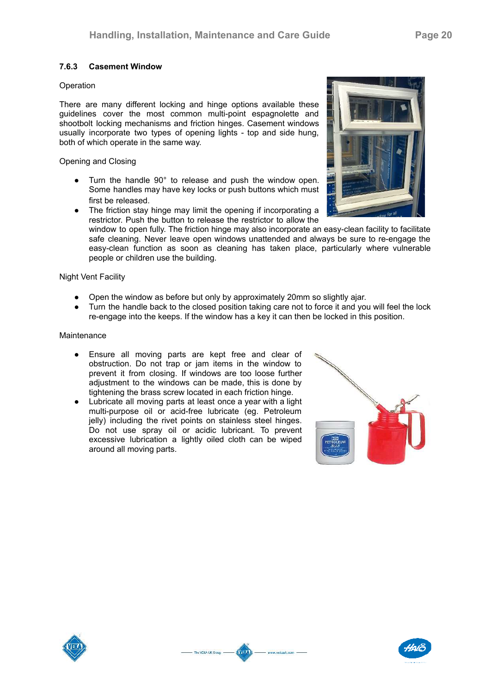#### **7.6.3 Casement Window**

#### **Operation**

There are many different locking and hinge options available these guidelines cover the most common multi-point espagnolette and shootbolt locking mechanisms and friction hinges. Casement windows usually incorporate two types of opening lights - top and side hung, both of which operate in the same way.

Opening and Closing

- Turn the handle 90° to release and push the window open. Some handles may have key locks or push buttons which must first be released.
- The friction stay hinge may limit the opening if incorporating a restrictor. Push the button to release the restrictor to allow the

window to open fully. The friction hinge may also incorporate an easy-clean facility to facilitate safe cleaning. Never leave open windows unattended and always be sure to re-engage the easy-clean function as soon as cleaning has taken place, particularly where vulnerable people or children use the building.

#### Night Vent Facility

- Open the window as before but only by approximately 20mm so slightly ajar.
- Turn the handle back to the closed position taking care not to force it and you will feel the lock re-engage into the keeps. If the window has a key it can then be locked in this position.

Kun

www.wekauk.com -

The VEKA UK Group. -

#### Maintenance

- Ensure all moving parts are kept free and clear of obstruction. Do not trap or jam items in the window to prevent it from closing. If windows are too loose further adjustment to the windows can be made, this is done by tightening the brass screw located in each friction hinge.
- Lubricate all moving parts at least once a year with a light multi-purpose oil or acid-free lubricate (eg. Petroleum jelly) including the rivet points on stainless steel hinges. Do not use spray oil or acidic lubricant. To prevent excessive lubrication a lightly oiled cloth can be wiped around all moving parts.







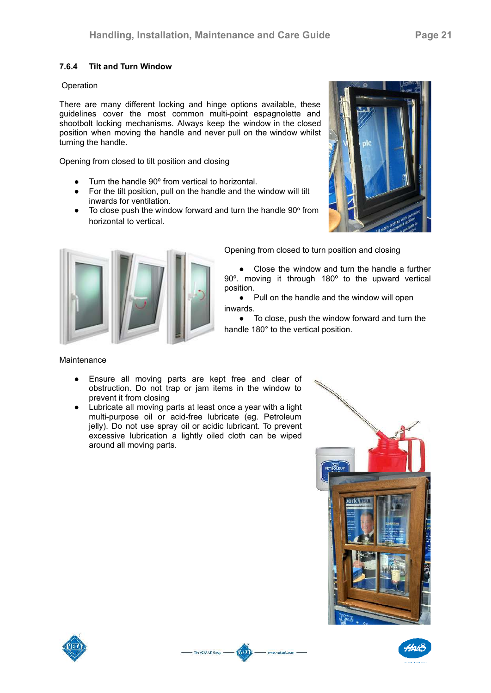# **7.6.4 Tilt and Turn Window**

#### Operation

There are many different locking and hinge options available, these guidelines cover the most common multi-point espagnolette and shootbolt locking mechanisms. Always keep the window in the closed position when moving the handle and never pull on the window whilst turning the handle.

Opening from closed to tilt position and closing

- Turn the handle 90º from vertical to horizontal.
- For the tilt position, pull on the handle and the window will tilt inwards for ventilation.
- $\bullet$  To close push the window forward and turn the handle 90 $^{\circ}$  from horizontal to vertical.





Opening from closed to turn position and closing

Close the window and turn the handle a further 90º. moving it through 180º to the upward vertical position.

● Pull on the handle and the window will open inwards.

● To close, push the window forward and turn the handle 180° to the vertical position.

#### **Maintenance**

- Ensure all moving parts are kept free and clear of obstruction. Do not trap or jam items in the window to prevent it from closing
- Lubricate all moving parts at least once a year with a light multi-purpose oil or acid-free lubricate (eg. Petroleum jelly). Do not use spray oil or acidic lubricant. To prevent excessive lubrication a lightly oiled cloth can be wiped around all moving parts.

**KYIK** 

www.vekauk.com -

- The VEKA UK Group -





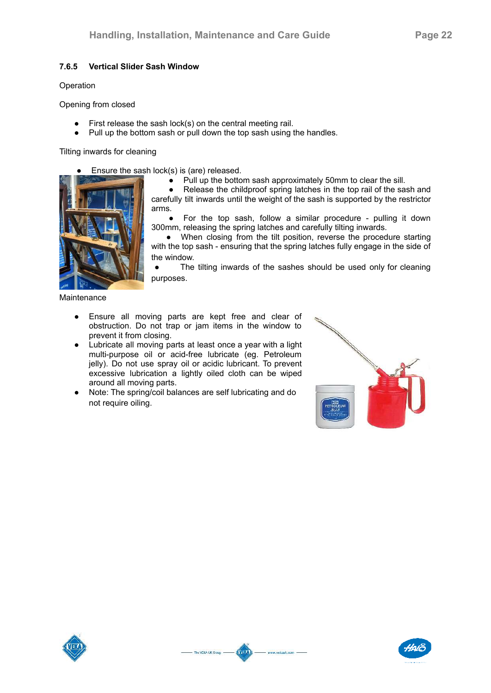## **7.6.5 Vertical Slider Sash Window**

#### Operation

Opening from closed

- First release the sash lock(s) on the central meeting rail.
- Pull up the bottom sash or pull down the top sash using the handles.

#### Tilting inwards for cleaning

- Ensure the sash lock(s) is (are) released.
- 
- Pull up the bottom sash approximately 50mm to clear the sill.

Release the childproof spring latches in the top rail of the sash and carefully tilt inwards until the weight of the sash is supported by the restrictor arms.

For the top sash, follow a similar procedure - pulling it down 300mm, releasing the spring latches and carefully tilting inwards.

• When closing from the tilt position, reverse the procedure starting with the top sash - ensuring that the spring latches fully engage in the side of the window.

The tilting inwards of the sashes should be used only for cleaning purposes.

**Maintenance** 

- Ensure all moving parts are kept free and clear of obstruction. Do not trap or jam items in the window to prevent it from closing.
- Lubricate all moving parts at least once a year with a light multi-purpose oil or acid-free lubricate (eg. Petroleum jelly). Do not use spray oil or acidic lubricant. To prevent excessive lubrication a lightly oiled cloth can be wiped around all moving parts.
- Note: The spring/coil balances are self lubricating and do not require oiling.

Kun

www.vekauk.com -

- The VEKA UK Group -





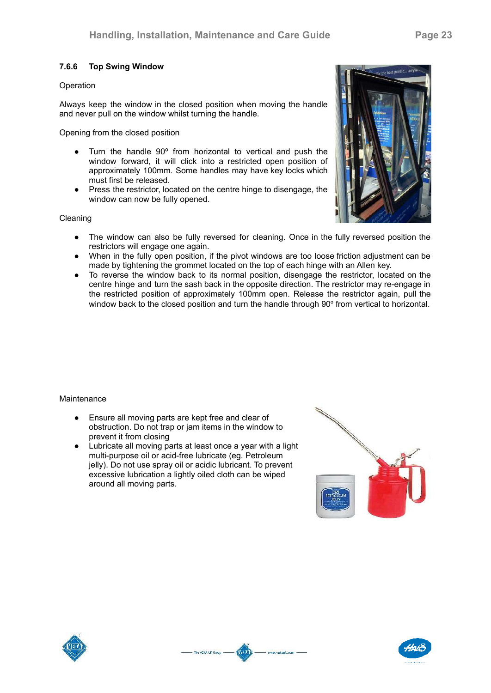### **7.6.6 Top Swing Window**

#### **Operation**

Always keep the window in the closed position when moving the handle and never pull on the window whilst turning the handle.

Opening from the closed position

- Turn the handle 90º from horizontal to vertical and push the window forward, it will click into a restricted open position of approximately 100mm. Some handles may have key locks which must first be released.
- Press the restrictor, located on the centre hinge to disengage, the window can now be fully opened.

#### Cleaning

- The window can also be fully reversed for cleaning. Once in the fully reversed position the restrictors will engage one again.
- When in the fully open position, if the pivot windows are too loose friction adjustment can be made by tightening the grommet located on the top of each hinge with an Allen key.
- To reverse the window back to its normal position, disengage the restrictor, located on the centre hinge and turn the sash back in the opposite direction. The restrictor may re-engage in the restricted position of approximately 100mm open. Release the restrictor again, pull the window back to the closed position and turn the handle through  $90^{\circ}$  from vertical to horizontal.

Kun

www.vekauk.com -

- The VEKA UK Group -

#### **Maintenance**

- Ensure all moving parts are kept free and clear of obstruction. Do not trap or jam items in the window to prevent it from closing
- Lubricate all moving parts at least once a year with a light multi-purpose oil or acid-free lubricate (eg. Petroleum jelly). Do not use spray oil or acidic lubricant. To prevent excessive lubrication a lightly oiled cloth can be wiped around all moving parts.







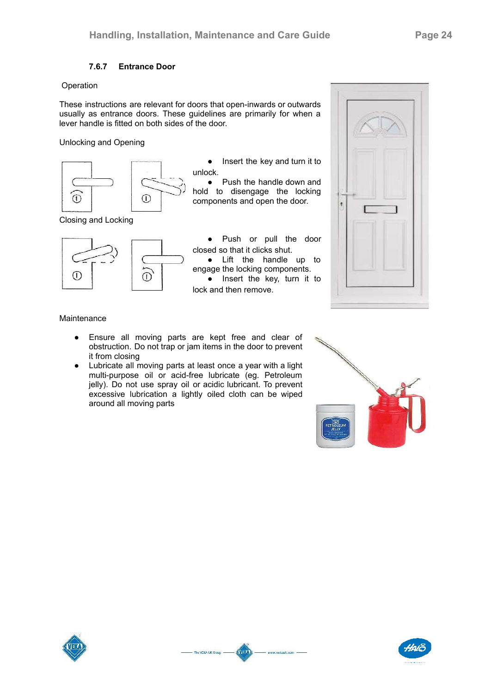# **7.6.7 Entrance Door**

#### Operation

These instructions are relevant for doors that open-inwards or outwards usually as entrance doors. These guidelines are primarily for when a lever handle is fitted on both sides of the door.

Unlocking and Opening



• Insert the key and turn it to unlock.

• Push the handle down and hold to disengage the locking components and open the door.

Closing and Locking



● Push or pull the door closed so that it clicks shut. ● Lift the handle up to engage the locking components.  $\bullet$  Insert the key, turn it to lock and then remove.

KVIR

www.vekauk.com -

- The VEKA UK Group -

¥

#### Maintenance

- Ensure all moving parts are kept free and clear of obstruction. Do not trap or jam items in the door to prevent it from closing
- Lubricate all moving parts at least once a year with a light multi-purpose oil or acid-free lubricate (eg. Petroleum jelly). Do not use spray oil or acidic lubricant. To prevent excessive lubrication a lightly oiled cloth can be wiped around all moving parts





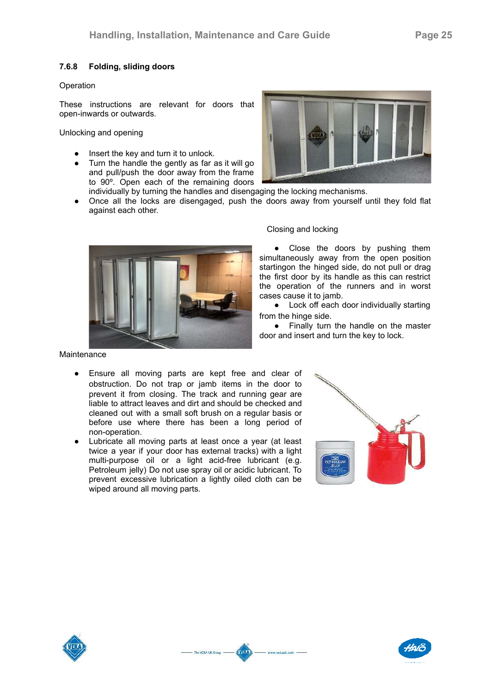# **7.6.8 Folding, sliding doors**

#### Operation

These instructions are relevant for doors that open-inwards or outwards.

Unlocking and opening

- Insert the key and turn it to unlock.
- Turn the handle the gently as far as it will go and pull/push the door away from the frame to 90º. Open each of the remaining doors



- individually by turning the handles and disengaging the locking mechanisms.
- Once all the locks are disengaged, push the doors away from yourself until they fold flat against each other.



#### Closing and locking

• Close the doors by pushing them simultaneously away from the open position startingon the hinged side, do not pull or drag the first door by its handle as this can restrict the operation of the runners and in worst cases cause it to jamb.

● Lock off each door individually starting from the hinge side.

● Finally turn the handle on the master door and insert and turn the key to lock.

Maintenance

- Ensure all moving parts are kept free and clear of obstruction. Do not trap or jamb items in the door to prevent it from closing. The track and running gear are liable to attract leaves and dirt and should be checked and cleaned out with a small soft brush on a regular basis or before use where there has been a long period of non-operation.
- Lubricate all moving parts at least once a year (at least twice a year if your door has external tracks) with a light multi-purpose oil or a light acid-free lubricant (e.g. Petroleum jelly) Do not use spray oil or acidic lubricant. To prevent excessive lubrication a lightly oiled cloth can be wiped around all moving parts.

**AVER** 

www.vekauk.com -

- The VEKA UK Group -





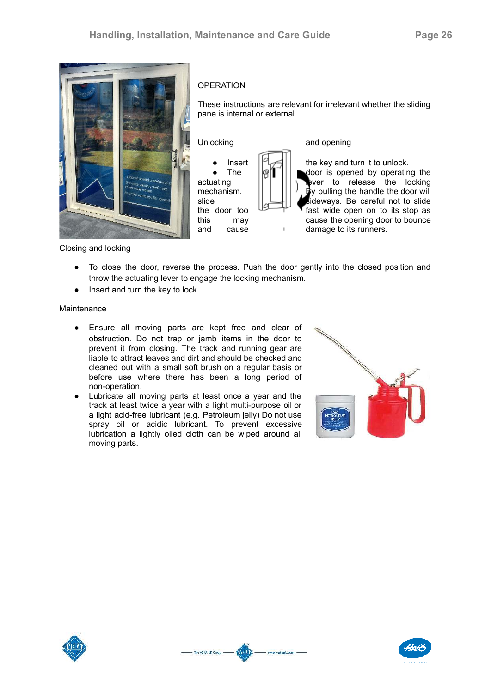

#### **OPERATION**

These instructions are relevant for irrelevant whether the sliding pane is internal or external.

Unlocking and opening



Insert  $\|\mathfrak{A}\|$  the key and turn it to unlock. The  $\|\mathscr{B}\|^{-}||\|$  odoor is opened by operating the actuating  $||^{2}||^{2}||^{2}||^{2}$  ever to release the locking mechanism.  $|| \cdot || || \cdot ||_2$  by pulling the handle the door will slide  $\|\Box\|$  **s**ideways. Be careful not to slide the door too  $\overline{f}$  fast wide open on to its stop as this may cause the opening door to bounce<br>and cause  $\frac{1}{2}$  damage to its runners. damage to its runners.

Closing and locking

● To close the door, reverse the process. Push the door gently into the closed position and throw the actuating lever to engage the locking mechanism.

Kun

www.vekauk.com -

- The VEKA UK Group -

• Insert and turn the key to lock.

**Maintenance** 

- Ensure all moving parts are kept free and clear of obstruction. Do not trap or jamb items in the door to prevent it from closing. The track and running gear are liable to attract leaves and dirt and should be checked and cleaned out with a small soft brush on a regular basis or before use where there has been a long period of non-operation.
- Lubricate all moving parts at least once a year and the track at least twice a year with a light multi-purpose oil or a light acid-free lubricant (e.g. Petroleum jelly) Do not use spray oil or acidic lubricant. To prevent excessive lubrication a lightly oiled cloth can be wiped around all moving parts.